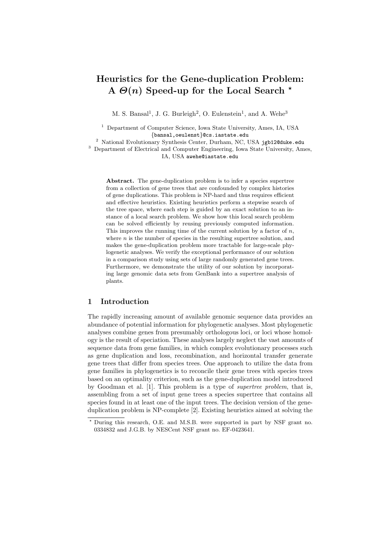# Heuristics for the Gene-duplication Problem: A  $\Theta(n)$  Speed-up for the Local Search  $\star$

M. S. Bansal<sup>1</sup>, J. G. Burleigh<sup>2</sup>, O. Eulenstein<sup>1</sup>, and A. Wehe<sup>3</sup>

<sup>1</sup> Department of Computer Science, Iowa State University, Ames, IA, USA {bansal,oeulenst}@cs.iastate.edu

<sup>2</sup> National Evolutionary Synthesis Center, Durham, NC, USA jgb12@duke.edu

 $^3\,$  Department of Electrical and Computer Engineering, Iowa State University, Ames, IA, USA awehe@iastate.edu

Abstract. The gene-duplication problem is to infer a species supertree from a collection of gene trees that are confounded by complex histories of gene duplications. This problem is NP-hard and thus requires efficient and effective heuristics. Existing heuristics perform a stepwise search of the tree space, where each step is guided by an exact solution to an instance of a local search problem. We show how this local search problem can be solved efficiently by reusing previously computed information. This improves the running time of the current solution by a factor of  $n$ , where  $n$  is the number of species in the resulting supertree solution, and makes the gene-duplication problem more tractable for large-scale phylogenetic analyses. We verify the exceptional performance of our solution in a comparison study using sets of large randomly generated gene trees. Furthermore, we demonstrate the utility of our solution by incorporating large genomic data sets from GenBank into a supertree analysis of plants.

## 1 Introduction

The rapidly increasing amount of available genomic sequence data provides an abundance of potential information for phylogenetic analyses. Most phylogenetic analyses combine genes from presumably orthologous loci, or loci whose homology is the result of speciation. These analyses largely neglect the vast amounts of sequence data from gene families, in which complex evolutionary processes such as gene duplication and loss, recombination, and horizontal transfer generate gene trees that differ from species trees. One approach to utilize the data from gene families in phylogenetics is to reconcile their gene trees with species trees based on an optimality criterion, such as the gene-duplication model introduced by Goodman et al. [1]. This problem is a type of supertree problem, that is, assembling from a set of input gene trees a species supertree that contains all species found in at least one of the input trees. The decision version of the geneduplication problem is NP-complete [2]. Existing heuristics aimed at solving the

During this research, O.E. and M.S.B. were supported in part by NSF grant no. 0334832 and J.G.B. by NESCent NSF grant no. EF-0423641.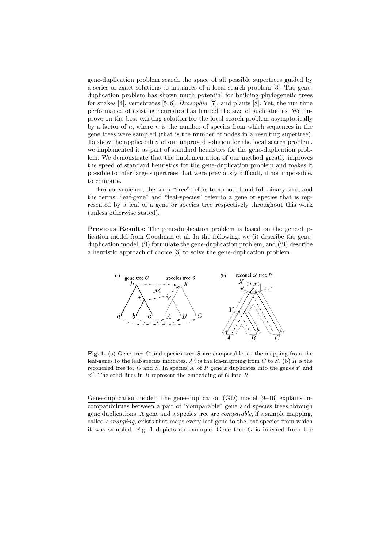gene-duplication problem search the space of all possible supertrees guided by a series of exact solutions to instances of a local search problem [3]. The geneduplication problem has shown much potential for building phylogenetic trees for snakes [4], vertebrates [5, 6], Drosophia [7], and plants [8]. Yet, the run time performance of existing heuristics has limited the size of such studies. We improve on the best existing solution for the local search problem asymptotically by a factor of  $n$ , where  $n$  is the number of species from which sequences in the gene trees were sampled (that is the number of nodes in a resulting supertree). To show the applicability of our improved solution for the local search problem, we implemented it as part of standard heuristics for the gene-duplication problem. We demonstrate that the implementation of our method greatly improves the speed of standard heuristics for the gene-duplication problem and makes it possible to infer large supertrees that were previously difficult, if not impossible, to compute.

For convenience, the term "tree" refers to a rooted and full binary tree, and the terms "leaf-gene" and "leaf-species" refer to a gene or species that is represented by a leaf of a gene or species tree respectively throughout this work (unless otherwise stated).

Previous Results: The gene-duplication problem is based on the gene-duplication model from Goodman et al. In the following, we (i) describe the geneduplication model, (ii) formulate the gene-duplication problem, and (iii) describe a heuristic approach of choice [3] to solve the gene-duplication problem.



Fig. 1. (a) Gene tree G and species tree S are comparable, as the mapping from the leaf-genes to the leaf-species indicates. M is the lca-mapping from  $G$  to  $S$ . (b)  $R$  is the reconciled tree for G and S. In species X of R gene x duplicates into the genes  $x'$  and  $x''$ . The solid lines in R represent the embedding of G into R.

Gene-duplication model: The gene-duplication (GD) model [9–16] explains incompatibilities between a pair of "comparable" gene and species trees through gene duplications. A gene and a species tree are comparable, if a sample mapping, called s-mapping, exists that maps every leaf-gene to the leaf-species from which it was sampled. Fig. 1 depicts an example. Gene tree  $G$  is inferred from the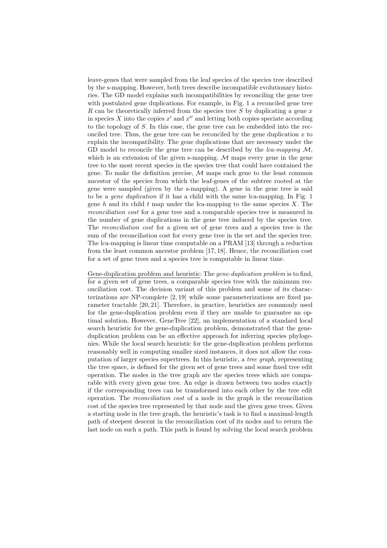leave-genes that were sampled from the leaf species of the species tree described by the s-mapping. However, both trees describe incompatible evolutionary histories. The GD model explains such incompatibilities by reconciling the gene tree with postulated gene duplications. For example, in Fig. 1 a reconciled gene tree R can be theoretically inferred from the species tree S by duplicating a gene  $x$ in species X into the copies  $x'$  and  $x''$  and letting both copies speciate according to the topology of S. In this case, the gene tree can be embedded into the reconciled tree. Thus, the gene tree can be reconciled by the gene duplication  $x$  to explain the incompatibility. The gene duplications that are necessary under the GD model to reconcile the gene tree can be described by the  $lca$ -mapping  $\mathcal{M}$ , which is an extension of the given s-mapping.  $M$  maps every gene in the gene tree to the most recent species in the species tree that could have contained the gene. To make the definition precise,  $\mathcal M$  maps each gene to the least common ancestor of the species from which the leaf-genes of the subtree rooted at the gene were sampled (given by the s-mapping). A gene in the gene tree is said to be a *gene duplication* if it has a child with the same lca-mapping. In Fig. 1 gene h and its child t map under the lca-mapping to the same species  $X$ . The reconciliation cost for a gene tree and a comparable species tree is measured in the number of gene duplications in the gene tree induced by the species tree. The *reconciliation cost* for a given set of gene trees and a species tree is the sum of the reconciliation cost for every gene tree in the set and the species tree. The lca-mapping is linear time computable on a PRAM [13] through a reduction from the least common ancestor problem [17, 18]. Hence, the reconciliation cost for a set of gene trees and a species tree is computable in linear time.

Gene-duplication problem and heuristic: The *gene-duplication problem* is to find, for a given set of gene trees, a comparable species tree with the minimum reconciliation cost. The decision variant of this problem and some of its characterizations are NP-complete [2, 19] while some parameterizations are fixed parameter tractable [20, 21]. Therefore, in practice, heuristics are commonly used for the gene-duplication problem even if they are unable to guarantee an optimal solution. However, GeneTree [22], an implementation of a standard local search heuristic for the gene-duplication problem, demonstrated that the geneduplication problem can be an effective approach for inferring species phylogenies. While the local search heuristic for the gene-duplication problem performs reasonably well in computing smaller sized instances, it does not allow the computation of larger species supertrees. In this heuristic, a tree graph, representing the tree space, is defined for the given set of gene trees and some fixed tree edit operation. The nodes in the tree graph are the species trees which are comparable with every given gene tree. An edge is drawn between two nodes exactly if the corresponding trees can be transformed into each other by the tree edit operation. The reconciliation cost of a node in the graph is the reconciliation cost of the species tree represented by that node and the given gene trees. Given a starting node in the tree graph, the heuristic's task is to find a maximal-length path of steepest descent in the reconciliation cost of its nodes and to return the last node on such a path. This path is found by solving the local search problem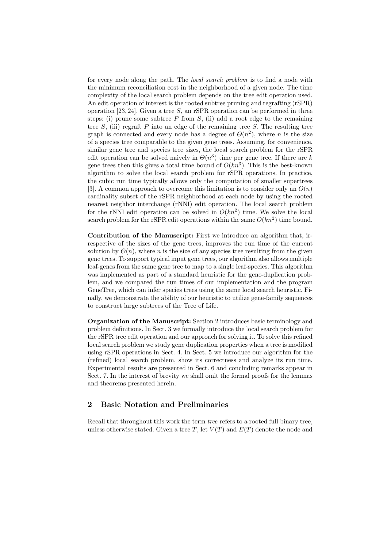for every node along the path. The *local search problem* is to find a node with the minimum reconciliation cost in the neighborhood of a given node. The time complexity of the local search problem depends on the tree edit operation used. An edit operation of interest is the rooted subtree pruning and regrafting (rSPR) operation [23, 24]. Given a tree  $S$ , an rSPR operation can be performed in three steps: (i) prune some subtree  $P$  from  $S$ , (ii) add a root edge to the remaining tree  $S$ , (iii) regraft  $P$  into an edge of the remaining tree  $S$ . The resulting tree graph is connected and every node has a degree of  $\Theta(n^2)$ , where n is the size of a species tree comparable to the given gene trees. Assuming, for convenience, similar gene tree and species tree sizes, the local search problem for the rSPR edit operation can be solved naively in  $\Theta(n^3)$  time per gene tree. If there are k gene trees then this gives a total time bound of  $O(kn^3)$ . This is the best-known algorithm to solve the local search problem for rSPR operations. In practice, the cubic run time typically allows only the computation of smaller supertrees [3]. A common approach to overcome this limitation is to consider only an  $O(n)$ cardinality subset of the rSPR neighborhood at each node by using the rooted nearest neighbor interchange (rNNI) edit operation. The local search problem for the rNNI edit operation can be solved in  $O(kn^2)$  time. We solve the local search problem for the rSPR edit operations within the same  $O(kn^2)$  time bound.

Contribution of the Manuscript: First we introduce an algorithm that, irrespective of the sizes of the gene trees, improves the run time of the current solution by  $\Theta(n)$ , where n is the size of any species tree resulting from the given gene trees. To support typical input gene trees, our algorithm also allows multiple leaf-genes from the same gene tree to map to a single leaf-species. This algorithm was implemented as part of a standard heuristic for the gene-duplication problem, and we compared the run times of our implementation and the program GeneTree, which can infer species trees using the same local search heuristic. Finally, we demonstrate the ability of our heuristic to utilize gene-family sequences to construct large subtrees of the Tree of Life.

Organization of the Manuscript: Section 2 introduces basic terminology and problem definitions. In Sect. 3 we formally introduce the local search problem for the rSPR tree edit operation and our approach for solving it. To solve this refined local search problem we study gene duplication properties when a tree is modified using rSPR operations in Sect. 4. In Sect. 5 we introduce our algorithm for the (refined) local search problem, show its correctness and analyze its run time. Experimental results are presented in Sect. 6 and concluding remarks appear in Sect. 7. In the interest of brevity we shall omit the formal proofs for the lemmas and theorems presented herein.

## 2 Basic Notation and Preliminaries

Recall that throughout this work the term tree refers to a rooted full binary tree, unless otherwise stated. Given a tree T, let  $V(T)$  and  $E(T)$  denote the node and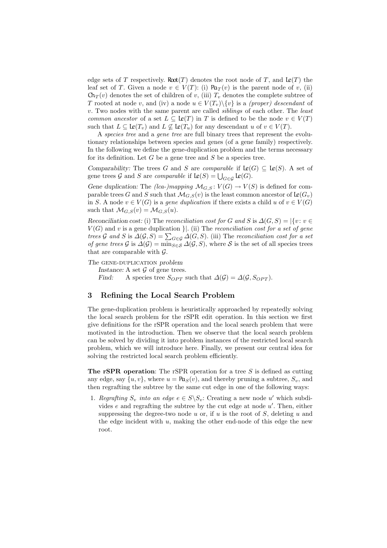edge sets of T respectively. Root(T) denotes the root node of T, and  $\text{Le}(T)$  the leaf set of T. Given a node  $v \in V(T)$ : (i) Pa<sub>T</sub>(v) is the parent node of v, (ii)  $\text{Ch}_T(v)$  denotes the set of children of v, (iii)  $T_v$  denotes the complete subtree of T rooted at node v, and (iv) a node  $u \in V(T_v) \setminus \{v\}$  is a *(proper) descendant* of v. Two nodes with the same parent are called siblings of each other. The least common ancestor of a set  $L \subseteq \text{Le}(T)$  in T is defined to be the node  $v \in V(T)$ such that  $L \subseteq \text{Le}(T_v)$  and  $L \nsubseteq \text{Le}(T_u)$  for any descendant u of  $v \in V(T)$ .

A species tree and a gene tree are full binary trees that represent the evolutionary relationships between species and genes (of a gene family) respectively. In the following we define the gene-duplication problem and the terms necessary for its definition. Let  $G$  be a gene tree and  $S$  be a species tree.

Comparability: The trees G and S are comparable if  $\text{Le}(G) \subseteq \text{Le}(S)$ . A set of gene trees G and S are comparable if  $\mathsf{Le}(S) = \bigcup_{G \in \mathcal{G}} \mathsf{Le}(G)$ .

Gene duplication: The (lca-)mapping  $\mathcal{M}_{G,S}: V(G) \to V(S)$  is defined for comparable trees G and S such that  $\mathcal{M}_{G,S}(v)$  is the least common ancestor of  $\text{Le}(G_v)$ in S. A node  $v \in V(G)$  is a gene duplication if there exists a child u of  $v \in V(G)$ such that  $\mathcal{M}_{G,S}(v) = \mathcal{M}_{G,S}(u)$ .

Reconciliation cost: (i) The reconciliation cost for G and S is  $\Delta(G, S) = |\{v : v \in$  $V(G)$  and v is a gene duplication }|. (ii) The reconciliation cost for a set of gene trees G and S is  $\Delta(G, S) = \sum_{G \in \mathcal{G}} \Delta(G, S)$ . (iii) The reconciliation cost for a set of gene trees  $\mathcal G$  is  $\Delta(\mathcal G) = \min_{S \in \mathcal S} \Delta(\mathcal G, S)$ , where S is the set of all species trees that are comparable with  $\mathcal{G}$ .

The GENE-DUPLICATION problem

Instance: A set  $\mathcal G$  of gene trees.

Find: A species tree  $S_{OPT}$  such that  $\Delta(\mathcal{G}) = \Delta(\mathcal{G}, S_{OPT})$ .

## 3 Refining the Local Search Problem

The gene-duplication problem is heuristically approached by repeatedly solving the local search problem for the rSPR edit operation. In this section we first give definitions for the rSPR operation and the local search problem that were motivated in the introduction. Then we observe that the local search problem can be solved by dividing it into problem instances of the restricted local search problem, which we will introduce here. Finally, we present our central idea for solving the restricted local search problem efficiently.

**The rSPR operation:** The rSPR operation for a tree  $S$  is defined as cutting any edge, say  $\{u, v\}$ , where  $u = \text{Pa}_S(v)$ , and thereby pruning a subtree,  $S_v$ , and then regrafting the subtree by the same cut edge in one of the following ways:

1. Regrafting  $S_v$  into an edge  $e \in S \backslash S_v$ : Creating a new node u' which subdivides  $e$  and regrafting the subtree by the cut edge at node  $u'$ . Then, either suppressing the degree-two node u or, if u is the root of  $S$ , deleting u and the edge incident with  $u$ , making the other end-node of this edge the new root.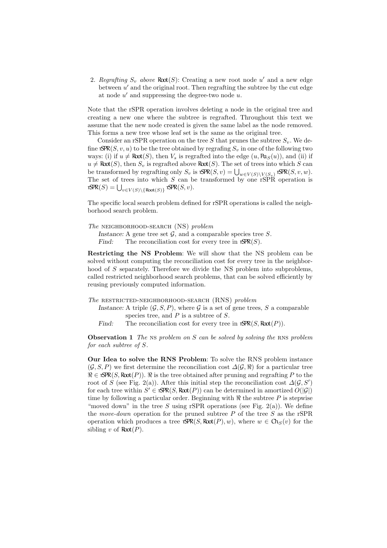2. Regrafting  $S_v$  above  $\text{Rot}(S)$ : Creating a new root node u' and a new edge between  $u'$  and the original root. Then regrafting the subtree by the cut edge at node  $u'$  and suppressing the degree-two node  $u$ .

Note that the rSPR operation involves deleting a node in the original tree and creating a new one where the subtree is regrafted. Throughout this text we assume that the new node created is given the same label as the node removed. This forms a new tree whose leaf set is the same as the original tree.

Consider an rSPR operation on the tree S that prunes the subtree  $S_v$ . We define  $\text{tSPR}(S, v, u)$  to be the tree obtained by regrafing  $S_v$  in one of the following two ways: (i) if  $u \neq \text{Root}(S)$ , then  $V_s$  is regrafted into the edge  $(u, \text{Pa}_S(u))$ , and (ii) if  $u \neq \text{Root}(S)$ , then  $S_v$  is regrafted above  $\text{Root}(S)$ . The set of trees into which S can be transformed by regrafting only  $S_v$  is  $\mathsf{isPR}(S, v) = \bigcup_{w \in V(S) \setminus V(S_v)} \mathsf{sPR}(S, v, w)$ . The set of trees into which S can be transformed by one  $rSPR$  operation is  $rSPR(S) = \bigcup_{v \in V(S) \setminus \{\text{Root}(S)\}} rSPR(S, v).$ 

The specific local search problem defined for rSPR operations is called the neighborhood search problem.

The NEIGHBORHOOD-SEARCH (NS) problem Instance: A gene tree set  $\mathcal{G}$ , and a comparable species tree  $S$ . Find: The reconciliation cost for every tree in  $\mathsf{tSPR}(S)$ .

Restricting the NS Problem: We will show that the NS problem can be solved without computing the reconciliation cost for every tree in the neighborhood of S separately. Therefore we divide the NS problem into subproblems, called restricted neighborhood search problems, that can be solved efficiently by reusing previously computed information.

#### The RESTRICTED-NEIGHBORHOOD-SEARCH (RNS) problem

- Instance: A triple  $(\mathcal{G}, S, P)$ , where  $\mathcal G$  is a set of gene trees, S a comparable species tree, and  $P$  is a subtree of  $S$ .
- Find: The reconciliation cost for every tree in  $\mathsf{rSPR}(S,\mathsf{Root}(P)).$

**Observation 1** The NS problem on  $S$  can be solved by solving the RNS problem for each subtree of S.

Our Idea to solve the RNS Problem: To solve the RNS problem instance  $(\mathcal{G}, S, P)$  we first determine the reconciliation cost  $\Delta(\mathcal{G}, \Re)$  for a particular tree  $\Re \in \text{tSPR}(S, \text{Root}(P)).$   $\Re$  is the tree obtained after pruning and regrafting P to the root of S (see Fig. 2(a)). After this initial step the reconciliation cost  $\Delta(\mathcal{G}, S')$ for each tree within  $S' \in \mathsf{tSPR}(S, \mathsf{Root}(P))$  can be determined in amortized  $O(|\mathcal{G}|)$ time by following a particular order. Beginning with  $\Re$  the subtree P is stepwise "moved down" in the tree S using rSPR operations (see Fig. 2(a)). We define the *move-down* operation for the pruned subtree  $P$  of the tree  $S$  as the rSPR operation which produces a tree rSPR(S,  $\text{Rot}(P), w$ ), where  $w \in \text{Ch}_S(v)$  for the sibling v of  $\text{Root}(P)$ .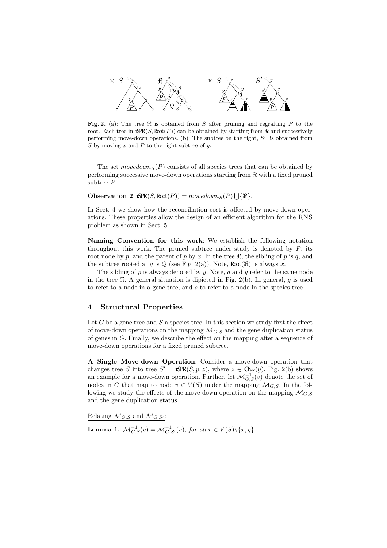

Fig. 2. (a): The tree  $\Re$  is obtained from S after pruning and regrafting P to the root. Each tree in  $\text{tSPR}(S, \text{Root}(P))$  can be obtained by starting from  $\Re$  and successively performing move-down operations. (b): The subtree on the right,  $S'$ , is obtained from S by moving  $x$  and  $P$  to the right subtree of  $y$ .

The set  $movedown<sub>S</sub>(P)$  consists of all species trees that can be obtained by performing successive move-down operations starting from  $\Re$  with a fixed pruned subtree P.

Observation 2  $rSPR(S, Root(P)) = movedown_S(P) \cup \{\Re\}.$ 

In Sect. 4 we show how the reconciliation cost is affected by move-down operations. These properties allow the design of an efficient algorithm for the RNS problem as shown in Sect. 5.

Naming Convention for this work: We establish the following notation throughout this work. The pruned subtree under study is denoted by  $P$ , its root node by p, and the parent of p by x. In the tree  $\Re$ , the sibling of p is q, and the subtree rooted at q is  $Q$  (see Fig. 2(a)). Note,  $Root(\Re)$  is always x.

The sibling of p is always denoted by y. Note, q and y refer to the same node in the tree  $\Re$ . A general situation is dipicted in Fig. 2(b). In general, q is used to refer to a node in a gene tree, and s to refer to a node in the species tree.

### 4 Structural Properties

Let  $G$  be a gene tree and  $S$  a species tree. In this section we study first the effect of move-down operations on the mapping  $\mathcal{M}_{G,S}$  and the gene duplication status of genes in G. Finally, we describe the effect on the mapping after a sequence of move-down operations for a fixed pruned subtree.

A Single Move-down Operation: Consider a move-down operation that changes tree S into tree  $S' = \text{tSPR}(S, p, z)$ , where  $z \in Ch_S(y)$ . Fig. 2(b) shows an example for a move-down operation. Further, let  $\mathcal{M}_{G,S}^{-1}(v)$  denote the set of nodes in G that map to node  $v \in V(S)$  under the mapping  $\mathcal{M}_{G,S}$ . In the following we study the effects of the move-down operation on the mapping  $\mathcal{M}_{G,S}$ and the gene duplication status.

Relating  $\mathcal{M}_{G,S}$  and  $\mathcal{M}_{G,S'}$ :

**Lemma 1.**  $\mathcal{M}_{G,S}^{-1}(v) = \mathcal{M}_{G,S'}^{-1}(v)$ , for all  $v \in V(S) \setminus \{x, y\}$ .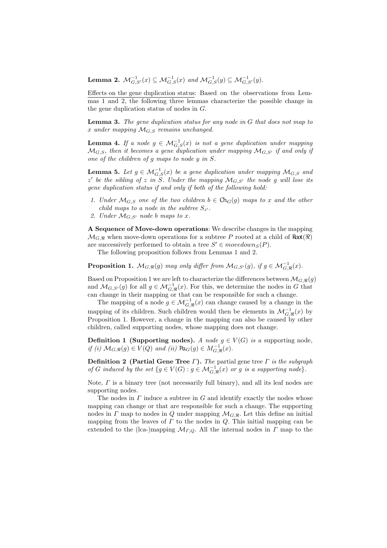Lemma 2.  $\mathcal{M}_{G,S'}^{-1}(x) \subseteq \mathcal{M}_{G,S}^{-1}(x)$  and  $\mathcal{M}_{G,S}^{-1}(y) \subseteq \mathcal{M}_{G,S'}^{-1}(y)$ .

Effects on the gene duplication status: Based on the observations from Lemmas 1 and 2, the following three lemmas characterize the possible change in the gene duplication status of nodes in G.

**Lemma 3.** The gene duplication status for any node in  $G$  that does not map to x under mapping  $\mathcal{M}_{G,S}$  remains unchanged.

**Lemma 4.** If a node  $g \in \mathcal{M}_{G,S}^{-1}(x)$  is not a gene duplication under mapping  $\mathcal{M}_{G,S}$ , then it becomes a gene duplication under mapping  $\mathcal{M}_{G,S'}$  if and only if one of the children of g maps to node y in S.

**Lemma 5.** Let  $g \in \mathcal{M}_{G,S}^{-1}(x)$  be a gene duplication under mapping  $\mathcal{M}_{G,S}$  and  $z'$  be the sibling of z in S. Under the mapping  $\mathcal{M}_{G,S'}$  the node g will lose its gene duplication status if and only if both of the following hold:

- 1. Under  $\mathcal{M}_{G,S}$  one of the two children  $b \in \mathcal{C}_{G}(g)$  maps to x and the other child maps to a node in the subtree  $S_{z'}$ .
- 2. Under  $\mathcal{M}_{G, S'}$  node b maps to x.

A Sequence of Move-down operations: We describe changes in the mapping  $\mathcal{M}_{G,\Re}$  when move-down operations for a subtree P rooted at a child of Root( $\Re$ ) are successively performed to obtain a tree  $S' \in movedown_S(P)$ .

The following proposition follows from Lemmas 1 and 2.

**Proposition 1.**  $\mathcal{M}_{G,\Re}(g)$  may only differ from  $\mathcal{M}_{G,S'}(g)$ , if  $g \in \mathcal{M}_{G,\Re}^{-1}(x)$ .

Based on Proposition 1 we are left to characterize the differences between  $\mathcal{M}_{G,\Re}(g)$ and  $\mathcal{M}_{G,S'}(g)$  for all  $g \in \mathcal{M}_{G,\Re}^{-1}(x)$ . For this, we determine the nodes in G that can change in their mapping or that can be responsible for such a change.

The mapping of a node  $g \in \mathcal{M}_{G,\Re}^{-1}(x)$  can change caused by a change in the mapping of its children. Such children would then be elements in  $\mathcal{M}_{G,\Re}^{-1}(x)$  by Proposition 1. However, a change in the mapping can also be caused by other children, called supporting nodes, whose mapping does not change.

**Definition 1 (Supporting nodes).** A node  $g \in V(G)$  is a supporting node, if (i)  $\mathcal{M}_{G,\Re}(g) \in V(Q)$  and (ii)  $\text{Pa}_G(g) \in M_{G,\Re}^{-1}(x)$ .

**Definition 2 (Partial Gene Tree**  $\Gamma$ ). The partial gene tree  $\Gamma$  is the subgraph of G induced by the set  $\{g \in V(G) : g \in \mathcal{M}_{G,\Re}^{-1}(x) \text{ or } g \text{ is a supporting node}\}.$ 

Note,  $\Gamma$  is a binary tree (not necessarily full binary), and all its leaf nodes are supporting nodes.

The nodes in  $\Gamma$  induce a subtree in  $G$  and identify exactly the nodes whose mapping can change or that are responsible for such a change. The supporting nodes in  $\Gamma$  map to nodes in  $Q$  under mapping  $\mathcal{M}_{G,\Re}$ . Let this define an initial mapping from the leaves of  $\Gamma$  to the nodes in  $\overline{Q}$ . This initial mapping can be extended to the (lca-)mapping  $\mathcal{M}_{F,Q}$ . All the internal nodes in  $\Gamma$  map to the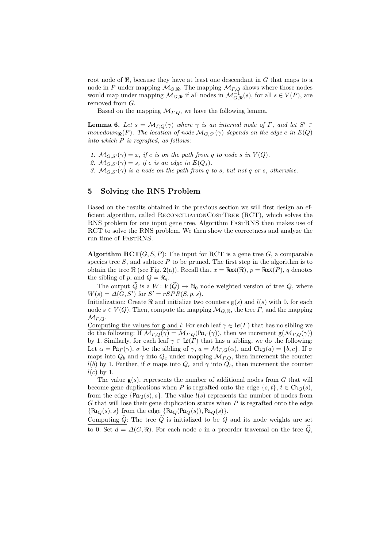root node of  $\Re$ , because they have at least one descendant in G that maps to a node in P under mapping  $\mathcal{M}_{G,\Re}$ . The mapping  $\mathcal{M}_{\Gamma,Q}$  shows where those nodes would map under mapping  $\mathcal{M}_{G,\Re}$  if all nodes in  $\mathcal{M}_{G,\Re}^{-1}(s)$ , for all  $s \in V(P)$ , are removed from G.

Based on the mapping  $\mathcal{M}_{I,Q}$ , we have the following lemma.

**Lemma 6.** Let  $s = M_{\Gamma,Q}(\gamma)$  where  $\gamma$  is an internal node of  $\Gamma$ , and let  $S' \in$ movedown<sub> $\Re$ </sub>(P). The location of node  $\mathcal{M}_{G,S'}(\gamma)$  depends on the edge e in  $E(Q)$ into which P is regrafted, as follows:

- 1.  $\mathcal{M}_{G,S'}(\gamma) = x$ , if e is on the path from q to node s in  $V(Q)$ .
- 2.  $\mathcal{M}_{G,S'}(\gamma) = s$ , if e is an edge in  $E(Q_s)$ .
- 3.  $\mathcal{M}_{G,S'}(\gamma)$  is a node on the path from q to s, but not q or s, otherwise.

## 5 Solving the RNS Problem

Based on the results obtained in the previous section we will first design an efficient algorithm, called ReconciliationCostTree (RCT), which solves the RNS problem for one input gene tree. Algorithm FastRNS then makes use of RCT to solve the RNS problem. We then show the correctness and analyze the run time of FastRNS.

Algorithm  $\mathbf{RCT}(G, S, P)$ : The input for RCT is a gene tree G, a comparable species tree  $S$ , and subtree  $P$  to be pruned. The first step in the algorithm is to obtain the tree  $\Re$  (see Fig. 2(a)). Recall that  $x = \text{Root}(\Re)$ ,  $p = \text{Root}(P)$ , q denotes the sibling of p, and  $Q = \Re_q$ .

The output  $\tilde{Q}$  is a  $W : V(\tilde{Q}) \to \mathbb{N}_0$  node weighted version of tree  $Q$ , where  $W(s) = \Delta(G, S')$  for  $S' = rSPR(S, p, s)$ .

Initialization: Create  $\Re$  and initialize two counters  $g(s)$  and  $l(s)$  with 0, for each node  $s \in V(Q)$ . Then, compute the mapping  $\mathcal{M}_{G,\mathbb{R}}$ , the tree  $\Gamma$ , and the mapping  $\mathcal{M}_{\Gamma,\Omega}$ .

Computing the values for g and l: For each leaf  $\gamma \in \text{Le}(\Gamma)$  that has no sibling we do the following: If  $\mathcal{M}_{\Gamma,Q}(\gamma) = \mathcal{M}_{\Gamma,Q}(\text{Pa}_{\Gamma}(\gamma))$ , then we increment  $g(\mathcal{M}_{\Gamma,Q}(\gamma))$ by 1. Similarly, for each leaf  $\gamma \in \text{Le}(\Gamma)$  that has a sibling, we do the following: Let  $\alpha = \text{Pa}_{\Gamma}(\gamma)$ ,  $\sigma$  be the sibling of  $\gamma$ ,  $a = \mathcal{M}_{\Gamma,Q}(\alpha)$ , and  $\text{Ch}_{Q}(a) = \{b, c\}$ . If  $\sigma$ maps into  $Q_b$  and  $\gamma$  into  $Q_c$  under mapping  $\mathcal{M}_{\Gamma,Q}$ , then increment the counter  $l(b)$  by 1. Further, if  $\sigma$  maps into  $Q_c$  and  $\gamma$  into  $Q_b$ , then increment the counter  $l(c)$  by 1.

The value  $g(s)$ , represents the number of additional nodes from G that will become gene duplications when P is regrafted onto the edge  $\{s, t\}, t \in \mathcal{C}$ h $_Q(s)$ , from the edge  $\{Pa_{\mathcal{O}}(s), s\}$ . The value  $l(s)$  represents the number of nodes from  $G$  that will lose their gene duplication status when  $P$  is regrafted onto the edge  $\{Pa_Q(s), s\}$  from the edge  $\{Pa_Q(Pa_Q(s)), Pa_Q(s)\}.$ 

Computing  $Q$ : The tree  $Q$  is initialized to be  $Q$  and its node weights are set to 0. Set  $d = \Delta(G, \Re)$ . For each node s in a preorder traversal on the tree  $\tilde{Q}$ ,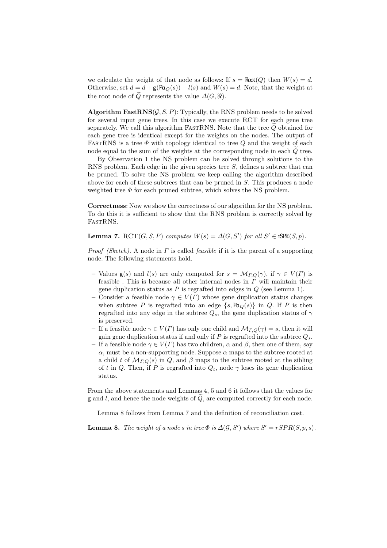we calculate the weight of that node as follows: If  $s = \text{Root}(Q)$  then  $W(s) = d$ . Otherwise, set  $d = d + g(Pa_Q(s)) - l(s)$  and  $W(s) = d$ . Note, that the weight at the root node of  $\widetilde{Q}$  represents the value  $\Delta(G, \Re)$ .

Algorithm Fast $\text{RNS}(\mathcal{G}, S, P)$ : Typically, the RNS problem needs to be solved for several input gene trees. In this case we execute RCT for each gene tree separately. We call this algorithm FASTRNS. Note that the tree  $Q$  obtained for each gene tree is identical except for the weights on the nodes. The output of FASTRNS is a tree  $\Phi$  with topology identical to tree Q and the weight of each node equal to the sum of the weights at the corresponding node in each  $Q$  tree.

By Observation 1 the NS problem can be solved through solutions to the RNS problem. Each edge in the given species tree  $S$ , defines a subtree that can be pruned. To solve the NS problem we keep calling the algorithm described above for each of these subtrees that can be pruned in S. This produces a node weighted tree  $\Phi$  for each pruned subtree, which solves the NS problem.

Correctness: Now we show the correctness of our algorithm for the NS problem. To do this it is sufficient to show that the RNS problem is correctly solved by FastRNS.

**Lemma 7.** RCT(G, S, P) computes  $W(s) = \Delta(G, S')$  for all  $S' \in \text{rSPR}(S, p)$ .

*Proof (Sketch)*. A node in  $\Gamma$  is called *feasible* if it is the parent of a supporting node. The following statements hold.

- Values  $g(s)$  and  $l(s)$  are only computed for  $s = \mathcal{M}_{\Gamma,Q}(\gamma)$ , if  $\gamma \in V(\Gamma)$  is feasible. This is because all other internal nodes in  $\Gamma$  will maintain their gene duplication status as  $P$  is regrafted into edges in  $Q$  (see Lemma 1).
- Consider a feasible node  $\gamma \in V(\Gamma)$  whose gene duplication status changes when subtree P is regrafted into an edge  $\{s, Pa_Q(s)\}\$ in Q. If P is then regrafted into any edge in the subtree  $Q_s$ , the gene duplication status of  $\gamma$ is preserved.
- If a feasible node  $\gamma \in V(\Gamma)$  has only one child and  $\mathcal{M}_{\Gamma,Q}(\gamma) = s$ , then it will gain gene duplication status if and only if  $P$  is regrafted into the subtree  $Q_s$ .
- If a feasible node  $\gamma \in V(\Gamma)$  has two children,  $\alpha$  and  $\beta$ , then one of them, say  $\alpha$ , must be a non-supporting node. Suppose  $\alpha$  maps to the subtree rooted at a child t of  $\mathcal{M}_{\Gamma,Q}(s)$  in Q, and  $\beta$  maps to the subtree rooted at the sibling of t in Q. Then, if P is regrafted into  $Q_t$ , node  $\gamma$  loses its gene duplication status.

From the above statements and Lemmas 4, 5 and 6 it follows that the values for g and l, and hence the node weights of  $\tilde{Q}$ , are computed correctly for each node.

Lemma 8 follows from Lemma 7 and the definition of reconciliation cost.

**Lemma 8.** The weight of a node s in tree  $\Phi$  is  $\Delta(\mathcal{G}, S')$  where  $S' = rSPR(S, p, s)$ .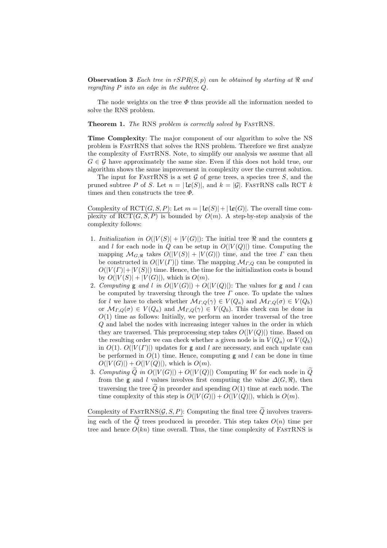**Observation 3** Each tree in  $rSPR(S, p)$  can be obtained by starting at  $\Re$  and regrafting  $P$  into an edge in the subtree  $Q$ .

The node weights on the tree  $\Phi$  thus provide all the information needed to solve the RNS problem.

Theorem 1. The RNS problem is correctly solved by FASTRNS.

Time Complexity: The major component of our algorithm to solve the NS problem is FastRNS that solves the RNS problem. Therefore we first analyze the complexity of FastRNS. Note, to simplify our analysis we assume that all  $G \in \mathcal{G}$  have approximately the same size. Even if this does not hold true, our algorithm shows the same improvement in complexity over the current solution.

The input for FASTRNS is a set  $G$  of gene trees, a species tree  $S$ , and the pruned subtree P of S. Let  $n = | \mathbf{L}(\mathbf{S}) |$ , and  $k = | \mathcal{G} |$ . FASTRNS calls RCT k times and then constructs the tree  $\Phi$ .

Complexity of RCT(G, S, P): Let  $m = | \mathbf{L}(\mathcal{S}) | + | \mathbf{L}(\mathcal{G}) |$ . The overall time complexity of  $\operatorname{RCT}(G, S, P)$  is bounded by  $O(m)$ . A step-by-step analysis of the complexity follows:

- 1. Initialization in  $O(|V(S)| + |V(G)|)$ : The initial tree  $\Re$  and the counters g and l for each node in  $Q$  can be setup in  $O(|V(Q)|)$  time. Computing the mapping  $\mathcal{M}_{G,\Re}$  takes  $O(|V(S)| + |V(G)|)$  time, and the tree  $\Gamma$  can then be constructed in  $O(|V(T)|)$  time. The mapping  $\mathcal{M}_{T,Q}$  can be computed in  $O(|V(T)|+|V(S)|)$  time. Hence, the time for the initialization costs is bound by  $O(|V(S)| + |V(G)|)$ , which is  $O(m)$ .
- 2. Computing g and l in  $O(|V(G)|) + O(|V(Q)|)$ : The values for g and l can be computed by traversing through the tree  $\Gamma$  once. To update the values for l we have to check whether  $\mathcal{M}_{\Gamma,Q}(\gamma) \in V(Q_a)$  and  $\mathcal{M}_{\Gamma,Q}(\sigma) \in V(Q_b)$ or  $\mathcal{M}_{\Gamma,Q}(\sigma) \in V(Q_a)$  and  $\mathcal{M}_{\Gamma,Q}(\gamma) \in V(Q_b)$ . This check can be done in  $O(1)$  time as follows: Initially, we perform an inorder traversal of the tree Q and label the nodes with increasing integer values in the order in which they are traversed. This preprocessing step takes  $O(|V(Q)|)$  time. Based on the resulting order we can check whether a given node is in  $V(Q_a)$  or  $V(Q_b)$ in  $O(1)$ .  $O(|V(T)|)$  updates for g and l are necessary, and each update can be performed in  $O(1)$  time. Hence, computing g and l can be done in time  $O(|V(G)|) + O(|V(Q)|)$ , which is  $O(m)$ .
- 3. Computing  $\widetilde{Q}$  in  $O(|V(G)|) + O(|V(Q)|)$  Computing W for each node in  $\widetilde{Q}$ from the g and l values involves first computing the value  $\Delta(G, \mathcal{R})$ , then traversing the tree  $\tilde{Q}$  in preorder and spending  $O(1)$  time at each node. The time complexity of this step is  $O(|V(G)|) + O(|V(Q)|)$ , which is  $O(m)$ .

Complexity of FASTRNS( $\mathcal{G}, S, P$ ): Computing the final tree  $\tilde{Q}$  involves traversing each of the  $\tilde{Q}$  trees produced in preorder. This step takes  $O(n)$  time per tree and hence  $O(kn)$  time overall. Thus, the time complexity of FASTRNS is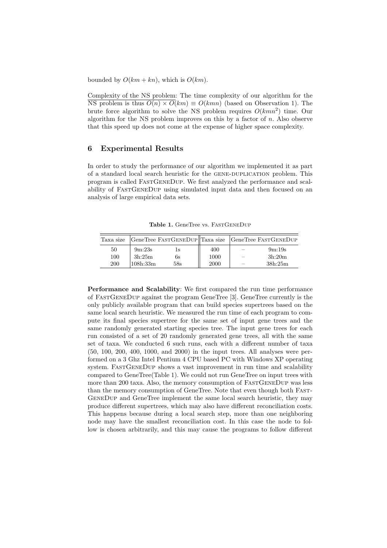bounded by  $O(km + kn)$ , which is  $O(km)$ .

Complexity of the NS problem: The time complexity of our algorithm for the NS problem is thus  $O(n) \times O(km) \equiv O(kmn)$  (based on Observation 1). The brute force algorithm to solve the NS problem requires  $O(kmn^2)$  time. Our algorithm for the NS problem improves on this by a factor of  $n$ . Also observe that this speed up does not come at the expense of higher space complexity.

## 6 Experimental Results

In order to study the performance of our algorithm we implemented it as part of a standard local search heuristic for the gene-duplication problem. This program is called FASTGENEDUP. We first analyzed the performance and scalability of FastGeneDup using simulated input data and then focused on an analysis of large empirical data sets.

Table 1. GeneTree vs. FASTGENEDUP

| Taxa size |          |     |      | GeneTree FASTGENEDUP Taxa size GeneTree FASTGENEDUP |
|-----------|----------|-----|------|-----------------------------------------------------|
| 50        | 9m:23s   | ΙS  | 400  | 9m:19s                                              |
| 100       | 3h:25m   | 6s  | 1000 | 3h:20m                                              |
| 200       | 108h:33m | 58s | 2000 | 38h:25m                                             |

Performance and Scalability: We first compared the run time performance of FastGeneDup against the program GeneTree [3]. GeneTree currently is the only publicly available program that can build species supertrees based on the same local search heuristic. We measured the run time of each program to compute its final species supertree for the same set of input gene trees and the same randomly generated starting species tree. The input gene trees for each run consisted of a set of 20 randomly generated gene trees, all with the same set of taxa. We conducted 6 such runs, each with a different number of taxa (50, 100, 200, 400, 1000, and 2000) in the input trees. All analyses were performed on a 3 Ghz Intel Pentium 4 CPU based PC with Windows XP operating system. FASTGENEDUP shows a vast improvement in run time and scalability compared to GeneTree(Table 1). We could not run GeneTree on input trees with more than 200 taxa. Also, the memory consumption of FastGeneDup was less than the memory consumption of GeneTree. Note that even though both Fast-GeneDup and GeneTree implement the same local search heuristic, they may produce different supertrees, which may also have different reconciliation costs. This happens because during a local search step, more than one neighboring node may have the smallest reconciliation cost. In this case the node to follow is chosen arbitrarily, and this may cause the programs to follow different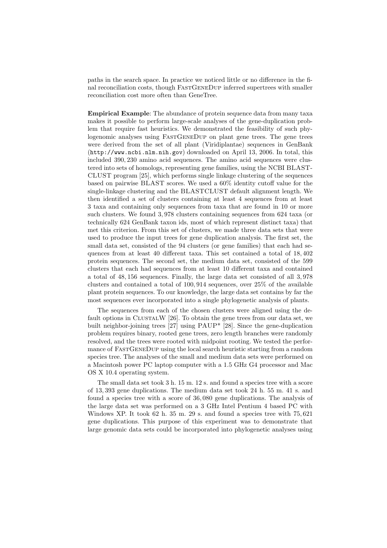paths in the search space. In practice we noticed little or no difference in the final reconciliation costs, though FastGeneDup inferred supertrees with smaller reconciliation cost more often than GeneTree.

Empirical Example: The abundance of protein sequence data from many taxa makes it possible to perform large-scale analyses of the gene-duplication problem that require fast heuristics. We demonstrated the feasibility of such phylogenomic analyses using FastGeneDup on plant gene trees. The gene trees were derived from the set of all plant (Viridiplantae) sequences in GenBank (http://www.ncbi.nlm.nih.gov) downloaded on April 13, 2006. In total, this included 390, 230 amino acid sequences. The amino acid sequences were clustered into sets of homologs, representing gene families, using the NCBI BLAST-CLUST program [25], which performs single linkage clustering of the sequences based on pairwise BLAST scores. We used a 60% identity cutoff value for the single-linkage clustering and the BLASTCLUST default alignment length. We then identified a set of clusters containing at least 4 sequences from at least 3 taxa and containing only sequences from taxa that are found in 10 or more such clusters. We found 3, 978 clusters containing sequences from 624 taxa (or technically 624 GenBank taxon ids, most of which represent distinct taxa) that met this criterion. From this set of clusters, we made three data sets that were used to produce the input trees for gene duplication analysis. The first set, the small data set, consisted of the 94 clusters (or gene families) that each had sequences from at least 40 different taxa. This set contained a total of 18, 402 protein sequences. The second set, the medium data set, consisted of the 599 clusters that each had sequences from at least 10 different taxa and contained a total of 48, 156 sequences. Finally, the large data set consisted of all 3, 978 clusters and contained a total of 100, 914 sequences, over 25% of the available plant protein sequences. To our knowledge, the large data set contains by far the most sequences ever incorporated into a single phylogenetic analysis of plants.

The sequences from each of the chosen clusters were aligned using the default options in ClustalW [26]. To obtain the gene trees from our data set, we built neighbor-joining trees [27] using PAUP\* [28]. Since the gene-duplication problem requires binary, rooted gene trees, zero length branches were randomly resolved, and the trees were rooted with midpoint rooting. We tested the performance of FastGeneDup using the local search heuristic starting from a random species tree. The analyses of the small and medium data sets were performed on a Macintosh power PC laptop computer with a 1.5 GHz G4 processor and Mac OS X 10.4 operating system.

The small data set took 3 h. 15 m. 12 s. and found a species tree with a score of 13, 393 gene duplications. The medium data set took 24 h. 55 m. 41 s. and found a species tree with a score of 36, 080 gene duplications. The analysis of the large data set was performed on a 3 GHz Intel Pentium 4 based PC with Windows XP. It took 62 h. 35 m. 29 s. and found a species tree with  $75,621$ gene duplications. This purpose of this experiment was to demonstrate that large genomic data sets could be incorporated into phylogenetic analyses using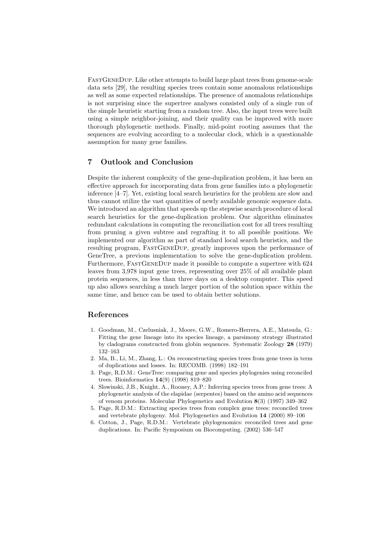FastGeneDup. Like other attempts to build large plant trees from genome-scale data sets [29], the resulting species trees contain some anomalous relationships as well as some expected relationships. The presence of anomalous relationships is not surprising since the supertree analyses consisted only of a single run of the simple heuristic starting from a random tree. Also, the input trees were built using a simple neighbor-joining, and their quality can be improved with more thorough phylogenetic methods. Finally, mid-point rooting assumes that the sequences are evolving according to a molecular clock, which is a questionable assumption for many gene families.

## 7 Outlook and Conclusion

Despite the inherent complexity of the gene-duplication problem, it has been an effective approach for incorporating data from gene families into a phylogenetic inference [4–7]. Yet, existing local search heuristics for the problem are slow and thus cannot utilize the vast quantities of newly available genomic sequence data. We introduced an algorithm that speeds up the stepwise search procedure of local search heuristics for the gene-duplication problem. Our algorithm eliminates redundant calculations in computing the reconciliation cost for all trees resulting from pruning a given subtree and regrafting it to all possible positions. We implemented our algorithm as part of standard local search heuristics, and the resulting program, FastGeneDup, greatly improves upon the performance of GeneTree, a previous implementation to solve the gene-duplication problem. Furthermore, FastGeneDup made it possible to compute a supertree with 624 leaves from 3,978 input gene trees, representing over 25% of all available plant protein sequences, in less than three days on a desktop computer. This speed up also allows searching a much larger portion of the solution space within the same time, and hence can be used to obtain better solutions.

## References

- 1. Goodman, M., Czelusniak, J., Moore, G.W., Romero-Herrera, A.E., Matsuda, G.: Fitting the gene lineage into its species lineage, a parsimony strategy illustrated by cladograms constructed from globin sequences. Systematic Zoology 28 (1979) 132–163
- 2. Ma, B., Li, M., Zhang, L.: On reconcstructing species trees from gene trees in term of duplications and losses. In: RECOMB. (1998) 182–191
- 3. Page, R.D.M.: GeneTree: comparing gene and species phylogenies using reconciled trees. Bioinformatics 14(9) (1998) 819–820
- 4. Slowinski, J.B., Knight, A., Rooney, A.P.: Inferring species trees from gene trees: A phylogenetic analysis of the elapidae (serpentes) based on the amino acid sequences of venom proteins. Molecular Phylogenetics and Evolution 8(3) (1997) 349–362
- 5. Page, R.D.M.: Extracting species trees from complex gene trees: reconciled trees and vertebrate phylogeny. Mol. Phylogenetics and Evolution 14 (2000) 89–106
- 6. Cotton, J., Page, R.D.M.: Vertebrate phylogenomics: reconciled trees and gene duplications. In: Pacific Symposium on Biocomputing. (2002) 536–547